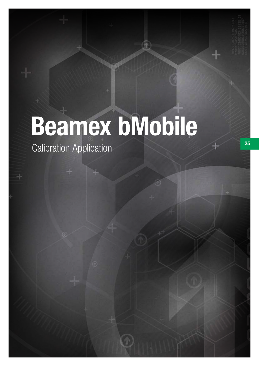# Beamex bMobile

Calibration Application 25

 $^{\circ}$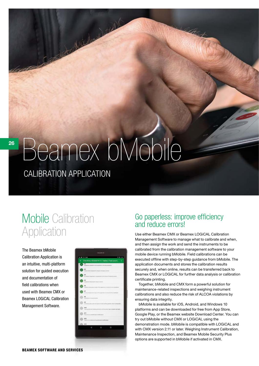# Beamex bMobile

A world

CALIBRATION APPLICATION

# Mobile Calibration **Application**

The Beamex bMobile Calibration Application is an intuitive, multi-platform solution for guided execution and documentation of field calibrations when used with Beamex CMX or Beamex LOGiCAL Calibration Management Software.

|    | part of the community of the community of the community of the community of the community of the community of the community of the community of the community of the community of the community of the community of the commun |                           |                                                 |         |  |
|----|--------------------------------------------------------------------------------------------------------------------------------------------------------------------------------------------------------------------------------|---------------------------|-------------------------------------------------|---------|--|
|    | + Direcklist.IEC60079-17. Table 2 Test positi 1.                                                                                                                                                                               |                           |                                                 |         |  |
| េធ |                                                                                                                                                                                                                                |                           | interested to that specified to the determinant |         |  |
|    | $\bullet$ $\overline{\bullet}$ .                                                                                                                                                                                               |                           |                                                 | a comer |  |
| c  | M <sub>1</sub><br>a all'aca acc                                                                                                                                                                                                | <b>SALE ALCO</b>          |                                                 |         |  |
|    | All                                                                                                                                                                                                                            | Middle & State & Listers  |                                                 |         |  |
|    | M                                                                                                                                                                                                                              |                           |                                                 |         |  |
|    | 47<br>÷                                                                                                                                                                                                                        |                           |                                                 |         |  |
|    | M                                                                                                                                                                                                                              |                           |                                                 |         |  |
|    | AB-<br><b>Daily was allowed</b>                                                                                                                                                                                                | <b>B. AND AGENT AVENU</b> |                                                 | m       |  |
|    | Area<br>timbs grands well thereby showed and the certain tiges completed as                                                                                                                                                    |                           |                                                 |         |  |
|    | A'FE<br>There are no considerable traditions of                                                                                                                                                                                |                           |                                                 |         |  |
|    | A'LL<br><b>STAGE</b>                                                                                                                                                                                                           |                           |                                                 |         |  |
|    | Atk.                                                                                                                                                                                                                           |                           |                                                 |         |  |
|    | a                                                                                                                                                                                                                              |                           | ō                                               | O       |  |

### Go paperless: improve efficiency and reduce errors!

Use either Beamex CMX or Beamex LOGiCAL Calibration Management Software to manage what to calibrate and when, and then assign the work and send the instruments to be calibrated from the calibration management software to your mobile device running bMobile. Field calibrations can be executed offline with step-by-step guidance from bMobile. The application documents and stores the calibration results securely and, when online, results can be transferred back to Beamex CMX or LOGiCAL for further data analysis or calibration certificate printing.

Together, bMobile and CMX form a powerful solution for maintenance-related inspections and weighing instrument calibrations and also reduce the risk of ALCOA violations by ensuring data integrity.

bMobile is available for iOS, Android, and Windows 10 platforms and can be downloaded for free from App Store, Google Play, or the Beamex website Download Center. You can try out bMobile without CMX or LOGiCAL using the demonstration mode. bMobile is compatible with LOGiCAL and with CMX version 2.11 or later. Weighing Instrument Calibration, Maintenance Inspection, and Beamex Mobile Security Plus options are supported in bMobile if activated in CMX.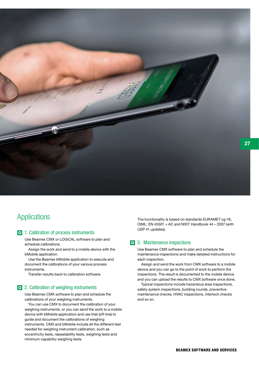

### **Applications**

#### **1.** Calibration of process instruments

Use Beamex CMX or LOGiCAL software to plan and schedule calibrations.

Assign the work and send to a mobile device with the bMobile application.

Use the Beamex bMobile application to execute and document the calibrations of your various process instruments.

Transfer results back to calibration software.

#### 2. Calibration of weighing instruments

Use Beamex CMX software to plan and schedule the calibrations of your weighing instruments.

You can use CMX to document the calibration of your weighing instruments, or you can send the work to a mobile device with bMobile application and use that (off-line) to guide and document the calibrations of weighing instruments. CMX and bMobile include all the different test needed for weighing instrument calibration, such as eccentricity tests, repeatability tests, weighing tests and minimum capability weighing tests.

The functionality is based on standards EURAMET cg-18, OIML: EN 45501 + AC and NIST: Handbook 44 – 2007 (with USP 41 updates).

#### 3. Maintenance inspections

Use Beamex CMX software to plan and schedule the maintenance inspections and make detailed instructions for each inspection.

Assign and send the work from CMX software to a mobile device and you can go to the point of work to perform the inspections. The result is documented to the mobile device and you can upload the results to CMX software once done.

Typical inspections include hazardous area inspections, safety system inspections, building rounds, preventive maintenance checks, HVAC inspections, interlock checks and so on.